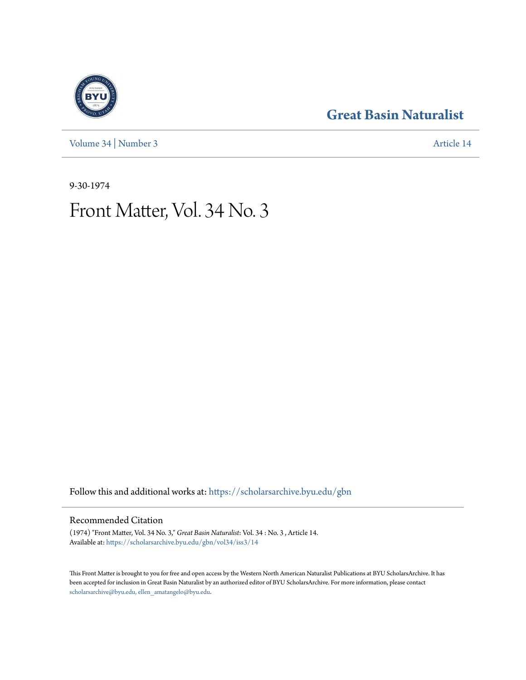[Volume 34](https://scholarsarchive.byu.edu/gbn/vol34?utm_source=scholarsarchive.byu.edu%2Fgbn%2Fvol34%2Fiss3%2F14&utm_medium=PDF&utm_campaign=PDFCoverPages) | [Number 3](https://scholarsarchive.byu.edu/gbn/vol34/iss3?utm_source=scholarsarchive.byu.edu%2Fgbn%2Fvol34%2Fiss3%2F14&utm_medium=PDF&utm_campaign=PDFCoverPages) [Article 14](https://scholarsarchive.byu.edu/gbn/vol34/iss3/14?utm_source=scholarsarchive.byu.edu%2Fgbn%2Fvol34%2Fiss3%2F14&utm_medium=PDF&utm_campaign=PDFCoverPages)

### **[Great Basin Naturalist](https://scholarsarchive.byu.edu/gbn?utm_source=scholarsarchive.byu.edu%2Fgbn%2Fvol34%2Fiss3%2F14&utm_medium=PDF&utm_campaign=PDFCoverPages)**

9-30-1974

## Front Matter, Vol. 34 No. 3

Follow this and additional works at: [https://scholarsarchive.byu.edu/gbn](https://scholarsarchive.byu.edu/gbn?utm_source=scholarsarchive.byu.edu%2Fgbn%2Fvol34%2Fiss3%2F14&utm_medium=PDF&utm_campaign=PDFCoverPages)

#### Recommended Citation

(1974) "Front Matter, Vol. 34 No. 3," *Great Basin Naturalist*: Vol. 34 : No. 3 , Article 14. Available at: [https://scholarsarchive.byu.edu/gbn/vol34/iss3/14](https://scholarsarchive.byu.edu/gbn/vol34/iss3/14?utm_source=scholarsarchive.byu.edu%2Fgbn%2Fvol34%2Fiss3%2F14&utm_medium=PDF&utm_campaign=PDFCoverPages)

This Front Matter is brought to you for free and open access by the Western North American Naturalist Publications at BYU ScholarsArchive. It has been accepted for inclusion in Great Basin Naturalist by an authorized editor of BYU ScholarsArchive. For more information, please contact [scholarsarchive@byu.edu, ellen\\_amatangelo@byu.edu.](mailto:scholarsarchive@byu.edu,%20ellen_amatangelo@byu.edu)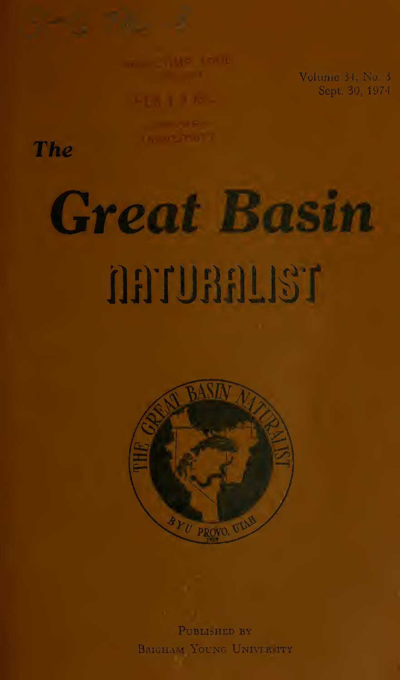Volume 34, No. 3 Sept. 30, 197

The

# Great Basin naruaanst